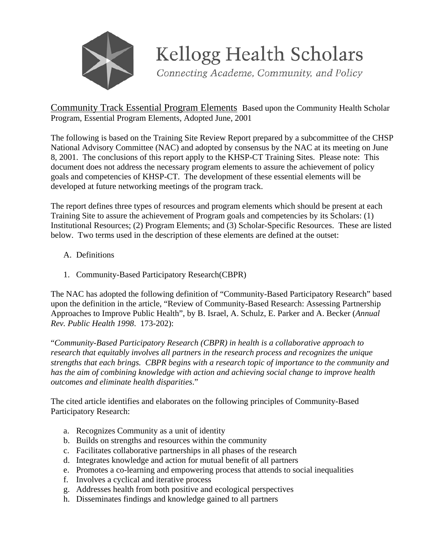

Kellogg Health Scholars

Connecting Academe, Community, and Policy

## Community Track Essential Program Elements Based upon the Community Health Scholar Program, Essential Program Elements, Adopted June, 2001

The following is based on the Training Site Review Report prepared by a subcommittee of the CHSP National Advisory Committee (NAC) and adopted by consensus by the NAC at its meeting on June 8, 2001. The conclusions of this report apply to the KHSP-CT Training Sites. Please note: This document does not address the necessary program elements to assure the achievement of policy goals and competencies of KHSP-CT. The development of these essential elements will be developed at future networking meetings of the program track.

The report defines three types of resources and program elements which should be present at each Training Site to assure the achievement of Program goals and competencies by its Scholars: (1) Institutional Resources; (2) Program Elements; and (3) Scholar-Specific Resources. These are listed below. Two terms used in the description of these elements are defined at the outset:

- A. Definitions
- 1. Community-Based Participatory Research(CBPR)

The NAC has adopted the following definition of "Community-Based Participatory Research" based upon the definition in the article, "Review of Community-Based Research: Assessing Partnership Approaches to Improve Public Health", by B. Israel, A. Schulz, E. Parker and A. Becker (*Annual Rev. Public Health 1998*. 173-202):

"*Community-Based Participatory Research (CBPR) in health is a collaborative approach to research that equitably involves all partners in the research process and recognizes the unique strengths that each brings. CBPR begins with a research topic of importance to the community and has the aim of combining knowledge with action and achieving social change to improve health outcomes and eliminate health disparities*."

The cited article identifies and elaborates on the following principles of Community-Based Participatory Research:

- a. Recognizes Community as a unit of identity
- b. Builds on strengths and resources within the community
- c. Facilitates collaborative partnerships in all phases of the research
- d. Integrates knowledge and action for mutual benefit of all partners
- e. Promotes a co-learning and empowering process that attends to social inequalities
- f. Involves a cyclical and iterative process
- g. Addresses health from both positive and ecological perspectives
- h. Disseminates findings and knowledge gained to all partners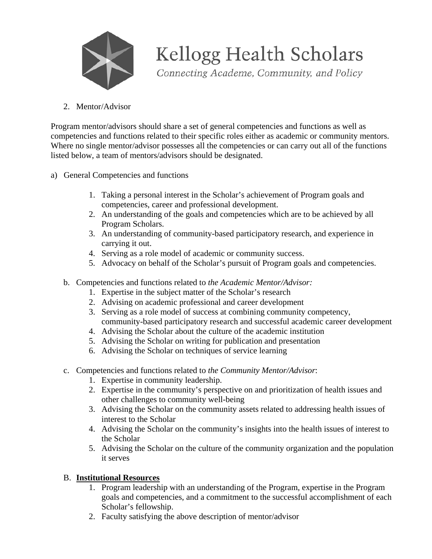

Kellogg Health Scholars

Connecting Academe, Community, and Policy

2. Mentor/Advisor

Program mentor/advisors should share a set of general competencies and functions as well as competencies and functions related to their specific roles either as academic or community mentors. Where no single mentor/advisor possesses all the competencies or can carry out all of the functions listed below, a team of mentors/advisors should be designated.

- a) General Competencies and functions
	- 1. Taking a personal interest in the Scholar's achievement of Program goals and competencies, career and professional development.
	- 2. An understanding of the goals and competencies which are to be achieved by all Program Scholars.
	- 3. An understanding of community-based participatory research, and experience in carrying it out.
	- 4. Serving as a role model of academic or community success.
	- 5. Advocacy on behalf of the Scholar's pursuit of Program goals and competencies.
	- b. Competencies and functions related to *the Academic Mentor/Advisor:*
		- 1. Expertise in the subject matter of the Scholar's research
		- 2. Advising on academic professional and career development
		- 3. Serving as a role model of success at combining community competency, community-based participatory research and successful academic career development
		- 4. Advising the Scholar about the culture of the academic institution
		- 5. Advising the Scholar on writing for publication and presentation
		- 6. Advising the Scholar on techniques of service learning
	- c. Competencies and functions related to *the Community Mentor/Advisor*:
		- 1. Expertise in community leadership.
		- 2. Expertise in the community's perspective on and prioritization of health issues and other challenges to community well-being
		- 3. Advising the Scholar on the community assets related to addressing health issues of interest to the Scholar
		- 4. Advising the Scholar on the community's insights into the health issues of interest to the Scholar
		- 5. Advising the Scholar on the culture of the community organization and the population it serves

## B. **Institutional Resources**

- 1. Program leadership with an understanding of the Program, expertise in the Program goals and competencies, and a commitment to the successful accomplishment of each Scholar's fellowship.
- 2. Faculty satisfying the above description of mentor/advisor